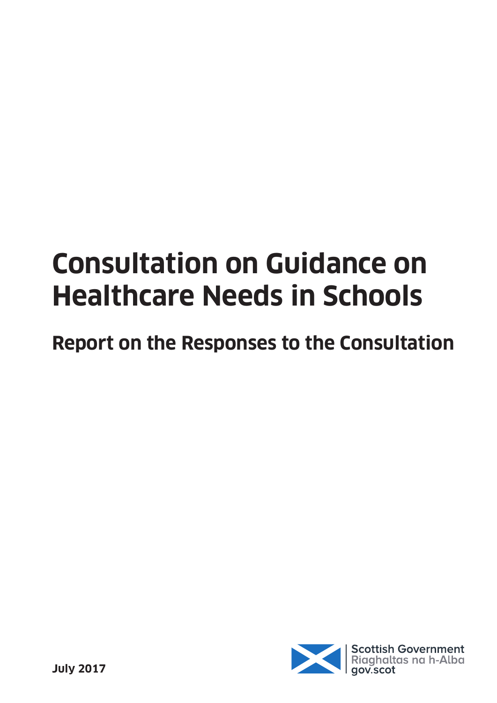# **Consultation on Guidance on Healthcare Needs in Schools**

**Report on the Responses to the Consultation**

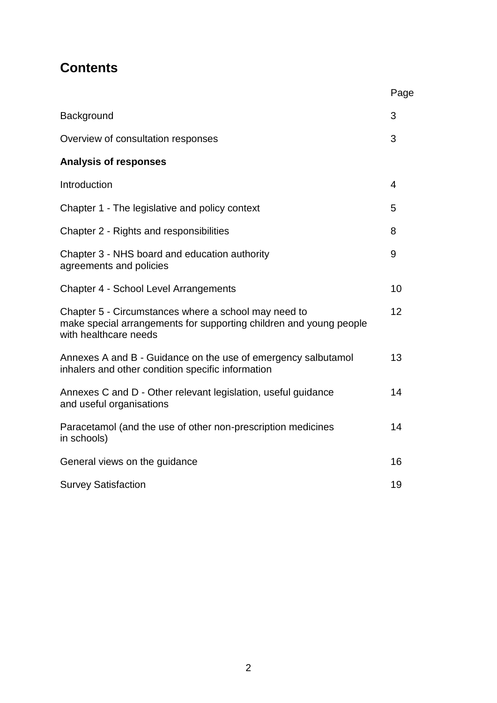### **Contents**

|                                                                                                                                                     | Page |
|-----------------------------------------------------------------------------------------------------------------------------------------------------|------|
| Background                                                                                                                                          | 3    |
| Overview of consultation responses                                                                                                                  | 3    |
| <b>Analysis of responses</b>                                                                                                                        |      |
| Introduction                                                                                                                                        | 4    |
| Chapter 1 - The legislative and policy context                                                                                                      | 5    |
| Chapter 2 - Rights and responsibilities                                                                                                             | 8    |
| Chapter 3 - NHS board and education authority<br>agreements and policies                                                                            | 9    |
| Chapter 4 - School Level Arrangements                                                                                                               | 10   |
| Chapter 5 - Circumstances where a school may need to<br>make special arrangements for supporting children and young people<br>with healthcare needs | 12   |
| Annexes A and B - Guidance on the use of emergency salbutamol<br>inhalers and other condition specific information                                  | 13   |
| Annexes C and D - Other relevant legislation, useful guidance<br>and useful organisations                                                           | 14   |
| Paracetamol (and the use of other non-prescription medicines<br>in schools)                                                                         | 14   |
| General views on the guidance                                                                                                                       | 16   |
| <b>Survey Satisfaction</b>                                                                                                                          | 19   |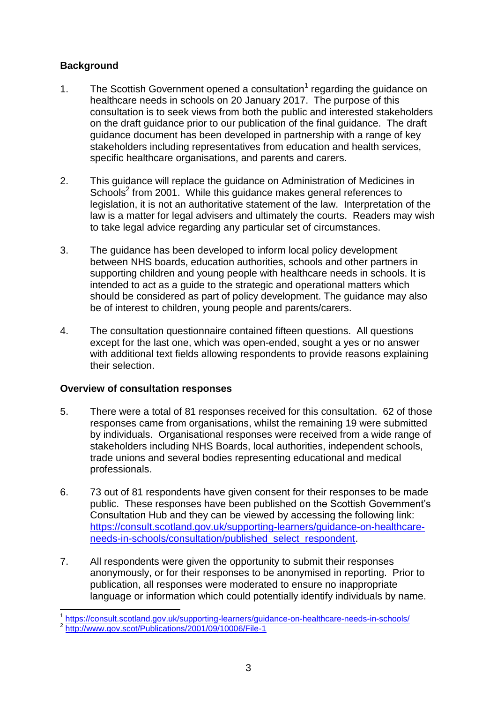#### **Background**

- 1. The Scottish Government opened a consultation<sup>1</sup> regarding the guidance on healthcare needs in schools on 20 January 2017. The purpose of this consultation is to seek views from both the public and interested stakeholders on the draft guidance prior to our publication of the final guidance. The draft guidance document has been developed in partnership with a range of key stakeholders including representatives from education and health services, specific healthcare organisations, and parents and carers.
- 2. This guidance will replace the guidance on Administration of Medicines in Schools<sup>2</sup> from 2001. While this guidance makes general references to legislation, it is not an authoritative statement of the law. Interpretation of the law is a matter for legal advisers and ultimately the courts. Readers may wish to take legal advice regarding any particular set of circumstances.
- 3. The guidance has been developed to inform local policy development between NHS boards, education authorities, schools and other partners in supporting children and young people with healthcare needs in schools. It is intended to act as a guide to the strategic and operational matters which should be considered as part of policy development. The guidance may also be of interest to children, young people and parents/carers.
- 4. The consultation questionnaire contained fifteen questions. All questions except for the last one, which was open-ended, sought a yes or no answer with additional text fields allowing respondents to provide reasons explaining their selection.

#### **Overview of consultation responses**

- 5. There were a total of 81 responses received for this consultation. 62 of those responses came from organisations, whilst the remaining 19 were submitted by individuals. Organisational responses were received from a wide range of stakeholders including NHS Boards, local authorities, independent schools, trade unions and several bodies representing educational and medical professionals.
- 6. 73 out of 81 respondents have given consent for their responses to be made public. These responses have been published on the Scottish Government's Consultation Hub and they can be viewed by accessing the following link: [https://consult.scotland.gov.uk/supporting-learners/guidance-on-healthcare](https://consult.scotland.gov.uk/supporting-learners/guidance-on-healthcare-needs-in-schools/consultation/published_select_respondent)[needs-in-schools/consultation/published\\_select\\_respondent.](https://consult.scotland.gov.uk/supporting-learners/guidance-on-healthcare-needs-in-schools/consultation/published_select_respondent)
- 7. All respondents were given the opportunity to submit their responses anonymously, or for their responses to be anonymised in reporting. Prior to publication, all responses were moderated to ensure no inappropriate language or information which could potentially identify individuals by name.
- 1 <https://consult.scotland.gov.uk/supporting-learners/guidance-on-healthcare-needs-in-schools/>

<sup>&</sup>lt;sup>2</sup> <http://www.gov.scot/Publications/2001/09/10006/File-1>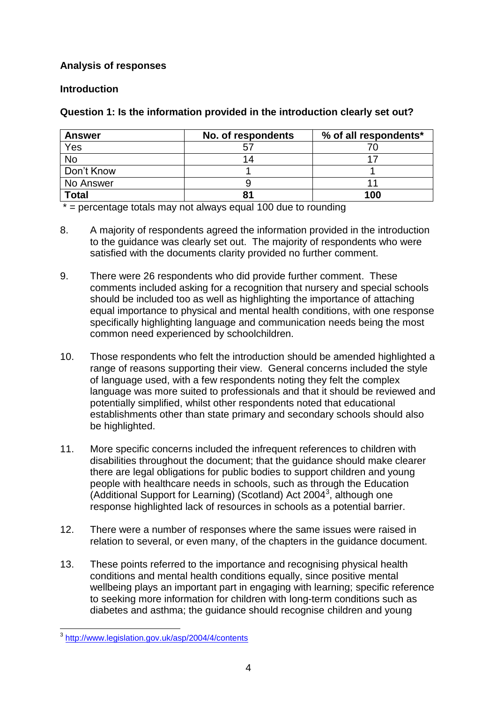#### **Analysis of responses**

#### **Introduction**

#### **Question 1: Is the information provided in the introduction clearly set out?**

| <b>Answer</b> | No. of respondents | % of all respondents* |
|---------------|--------------------|-----------------------|
| Yes           |                    |                       |
| No            |                    |                       |
| Don't Know    |                    |                       |
| No Answer     |                    |                       |
| <b>Total</b>  | 81                 | 100                   |

 $* =$  percentage totals may not always equal 100 due to rounding

- 8. A majority of respondents agreed the information provided in the introduction to the guidance was clearly set out. The majority of respondents who were satisfied with the documents clarity provided no further comment.
- 9. There were 26 respondents who did provide further comment. These comments included asking for a recognition that nursery and special schools should be included too as well as highlighting the importance of attaching equal importance to physical and mental health conditions, with one response specifically highlighting language and communication needs being the most common need experienced by schoolchildren.
- 10. Those respondents who felt the introduction should be amended highlighted a range of reasons supporting their view. General concerns included the style of language used, with a few respondents noting they felt the complex language was more suited to professionals and that it should be reviewed and potentially simplified, whilst other respondents noted that educational establishments other than state primary and secondary schools should also be highlighted.
- 11. More specific concerns included the infrequent references to children with disabilities throughout the document; that the guidance should make clearer there are legal obligations for public bodies to support children and young people with healthcare needs in schools, such as through the Education (Additional Support for Learning) (Scotland) Act 2004<sup>3</sup>, although one response highlighted lack of resources in schools as a potential barrier.
- 12. There were a number of responses where the same issues were raised in relation to several, or even many, of the chapters in the guidance document.
- 13. These points referred to the importance and recognising physical health conditions and mental health conditions equally, since positive mental wellbeing plays an important part in engaging with learning; specific reference to seeking more information for children with long-term conditions such as diabetes and asthma; the guidance should recognise children and young

 3 <http://www.legislation.gov.uk/asp/2004/4/contents>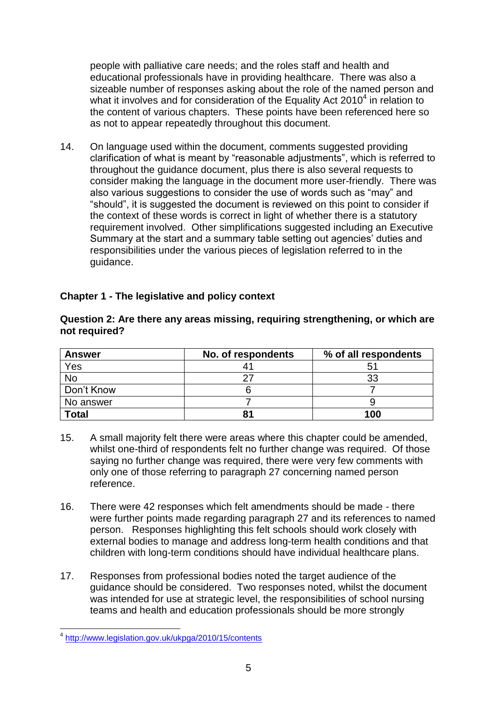people with palliative care needs; and the roles staff and health and educational professionals have in providing healthcare. There was also a sizeable number of responses asking about the role of the named person and what it involves and for consideration of the Equality Act 2010 $4$  in relation to the content of various chapters. These points have been referenced here so as not to appear repeatedly throughout this document.

14. On language used within the document, comments suggested providing clarification of what is meant by "reasonable adjustments", which is referred to throughout the guidance document, plus there is also several requests to consider making the language in the document more user-friendly. There was also various suggestions to consider the use of words such as "may" and "should", it is suggested the document is reviewed on this point to consider if the context of these words is correct in light of whether there is a statutory requirement involved. Other simplifications suggested including an Executive Summary at the start and a summary table setting out agencies' duties and responsibilities under the various pieces of legislation referred to in the guidance.

| <b>Answer</b> | No. of respondents | % of all respondents |
|---------------|--------------------|----------------------|
| Yes           |                    | 51                   |
| <b>No</b>     |                    | 33                   |
| Don't Know    |                    |                      |
| No answer     |                    |                      |
| <b>Total</b>  |                    | 100                  |

#### **Chapter 1 - The legislative and policy context**

#### **Question 2: Are there any areas missing, requiring strengthening, or which are not required?**

- 15. A small majority felt there were areas where this chapter could be amended, whilst one-third of respondents felt no further change was required. Of those saying no further change was required, there were very few comments with only one of those referring to paragraph 27 concerning named person reference.
- 16. There were 42 responses which felt amendments should be made there were further points made regarding paragraph 27 and its references to named person. Responses highlighting this felt schools should work closely with external bodies to manage and address long-term health conditions and that children with long-term conditions should have individual healthcare plans.
- 17. Responses from professional bodies noted the target audience of the guidance should be considered. Two responses noted, whilst the document was intended for use at strategic level, the responsibilities of school nursing teams and health and education professionals should be more strongly

<sup>-&</sup>lt;br><sup>4</sup> <http://www.legislation.gov.uk/ukpga/2010/15/contents>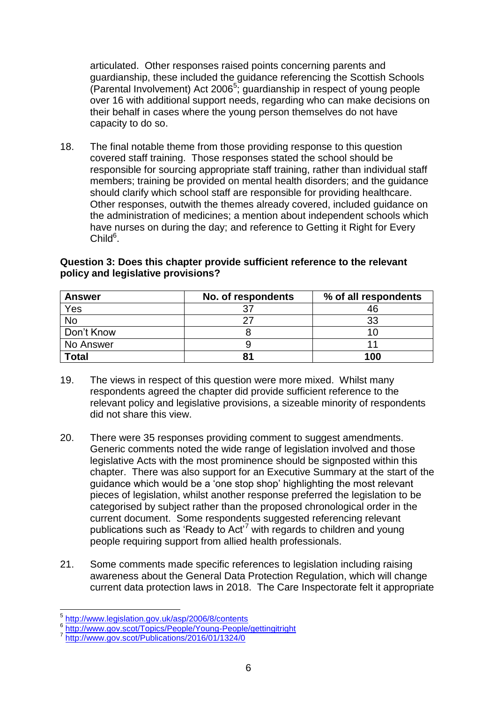articulated. Other responses raised points concerning parents and guardianship, these included the guidance referencing the Scottish Schools (Parental Involvement) Act 2006<sup>5</sup>; guardianship in respect of young people over 16 with additional support needs, regarding who can make decisions on their behalf in cases where the young person themselves do not have capacity to do so.

18. The final notable theme from those providing response to this question covered staff training. Those responses stated the school should be responsible for sourcing appropriate staff training, rather than individual staff members; training be provided on mental health disorders; and the guidance should clarify which school staff are responsible for providing healthcare. Other responses, outwith the themes already covered, included guidance on the administration of medicines; a mention about independent schools which have nurses on during the day; and reference to Getting it Right for Every  $Child<sup>6</sup>$ .

| <b>Answer</b> | No. of respondents | % of all respondents |
|---------------|--------------------|----------------------|
| Yes           |                    | 46                   |
| No            |                    | 33                   |
| Don't Know    |                    | 1 በ                  |
| No Answer     |                    |                      |
| <b>Total</b>  | 81                 | 100                  |

#### **Question 3: Does this chapter provide sufficient reference to the relevant policy and legislative provisions?**

- 19. The views in respect of this question were more mixed. Whilst many respondents agreed the chapter did provide sufficient reference to the relevant policy and legislative provisions, a sizeable minority of respondents did not share this view.
- 20. There were 35 responses providing comment to suggest amendments. Generic comments noted the wide range of legislation involved and those legislative Acts with the most prominence should be signposted within this chapter. There was also support for an Executive Summary at the start of the guidance which would be a 'one stop shop' highlighting the most relevant pieces of legislation, whilst another response preferred the legislation to be categorised by subject rather than the proposed chronological order in the current document. Some respondents suggested referencing relevant publications such as 'Ready to Act'<sup>7</sup> with regards to children and young people requiring support from allied health professionals.
- 21. Some comments made specific references to legislation including raising awareness about the General Data Protection Regulation, which will change current data protection laws in 2018. The Care Inspectorate felt it appropriate

 5 <http://www.legislation.gov.uk/asp/2006/8/contents>

<sup>6</sup> <http://www.gov.scot/Topics/People/Young-People/gettingitright> 7 <http://www.gov.scot/Publications/2016/01/1324/0>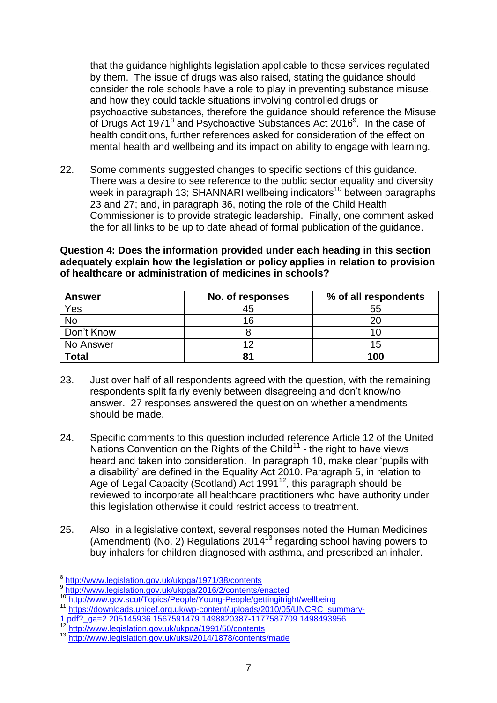that the guidance highlights legislation applicable to those services regulated by them. The issue of drugs was also raised, stating the guidance should consider the role schools have a role to play in preventing substance misuse, and how they could tackle situations involving controlled drugs or psychoactive substances, therefore the guidance should reference the Misuse of Drugs Act 1971 $^8$  and Psychoactive Substances Act 2016 $^9$ . In the case of health conditions, further references asked for consideration of the effect on mental health and wellbeing and its impact on ability to engage with learning.

22. Some comments suggested changes to specific sections of this guidance. There was a desire to see reference to the public sector equality and diversity week in paragraph 13; SHANNARI wellbeing indicators<sup>10</sup> between paragraphs 23 and 27; and, in paragraph 36, noting the role of the Child Health Commissioner is to provide strategic leadership. Finally, one comment asked the for all links to be up to date ahead of formal publication of the guidance.

**Question 4: Does the information provided under each heading in this section adequately explain how the legislation or policy applies in relation to provision of healthcare or administration of medicines in schools?**

| <b>Answer</b> | No. of responses | % of all respondents |
|---------------|------------------|----------------------|
| Yes           | 45               | 55                   |
| <b>No</b>     | 16               | 20                   |
| Don't Know    |                  | 10                   |
| No Answer     | 10               | 15                   |
| <b>Total</b>  | o٠               | 100                  |

- 23. Just over half of all respondents agreed with the question, with the remaining respondents split fairly evenly between disagreeing and don't know/no answer. 27 responses answered the question on whether amendments should be made.
- 24. Specific comments to this question included reference Article 12 of the United Nations Convention on the Rights of the Child $11$  - the right to have views heard and taken into consideration. In paragraph 10, make clear 'pupils with a disability' are defined in the Equality Act 2010. Paragraph 5, in relation to Age of Legal Capacity (Scotland) Act 1991<sup>12</sup>, this paragraph should be reviewed to incorporate all healthcare practitioners who have authority under this legislation otherwise it could restrict access to treatment.
- 25. Also, in a legislative context, several responses noted the Human Medicines (Amendment) (No. 2) Regulations 2014<sup>13</sup> regarding school having powers to buy inhalers for children diagnosed with asthma, and prescribed an inhaler.

 8 <http://www.legislation.gov.uk/ukpga/1971/38/contents>

<sup>9</sup> <http://www.legislation.gov.uk/ukpga/2016/2/contents/enacted>

<sup>10</sup> http://www.iegislandri.gov.uiv.ui.p.gov.ex.com/com/scot/Topics/People/Young-People/gettingitright/wellbeing

<sup>11</sup> [https://downloads.unicef.org.uk/wp-content/uploads/2010/05/UNCRC\\_summary-](https://downloads.unicef.org.uk/wp-content/uploads/2010/05/UNCRC_summary-1.pdf?_ga=2.205145936.1567591479.1498820387-1177587709.1498493956)

[<sup>1.</sup>pdf?\\_ga=2.205145936.1567591479.1498820387-1177587709.1498493956](https://downloads.unicef.org.uk/wp-content/uploads/2010/05/UNCRC_summary-1.pdf?_ga=2.205145936.1567591479.1498820387-1177587709.1498493956)

<http://www.legislation.gov.uk/ukpga/1991/50/contents>

<sup>13</sup> <http://www.legislation.gov.uk/uksi/2014/1878/contents/made>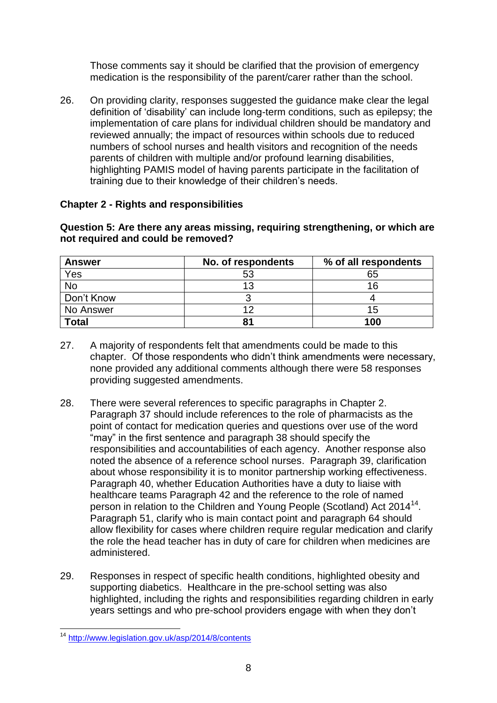Those comments say it should be clarified that the provision of emergency medication is the responsibility of the parent/carer rather than the school.

26. On providing clarity, responses suggested the guidance make clear the legal definition of 'disability' can include long-term conditions, such as epilepsy; the implementation of care plans for individual children should be mandatory and reviewed annually; the impact of resources within schools due to reduced numbers of school nurses and health visitors and recognition of the needs parents of children with multiple and/or profound learning disabilities, highlighting PAMIS model of having parents participate in the facilitation of training due to their knowledge of their children's needs.

#### **Chapter 2 - Rights and responsibilities**

| Question 5: Are there any areas missing, requiring strengthening, or which are |  |
|--------------------------------------------------------------------------------|--|
| not required and could be removed?                                             |  |

| <b>Answer</b> | No. of respondents | % of all respondents |
|---------------|--------------------|----------------------|
| Yes           | 53                 | 65                   |
| No            | 13                 | 16                   |
| Don't Know    |                    |                      |
| No Answer     | ィつ                 | 15                   |
| <b>Total</b>  | 81                 | 100                  |

- 27. A majority of respondents felt that amendments could be made to this chapter. Of those respondents who didn't think amendments were necessary, none provided any additional comments although there were 58 responses providing suggested amendments.
- 28. There were several references to specific paragraphs in Chapter 2. Paragraph 37 should include references to the role of pharmacists as the point of contact for medication queries and questions over use of the word "may" in the first sentence and paragraph 38 should specify the responsibilities and accountabilities of each agency. Another response also noted the absence of a reference school nurses. Paragraph 39, clarification about whose responsibility it is to monitor partnership working effectiveness. Paragraph 40, whether Education Authorities have a duty to liaise with healthcare teams Paragraph 42 and the reference to the role of named person in relation to the Children and Young People (Scotland) Act 2014<sup>14</sup>. Paragraph 51, clarify who is main contact point and paragraph 64 should allow flexibility for cases where children require regular medication and clarify the role the head teacher has in duty of care for children when medicines are administered.
- 29. Responses in respect of specific health conditions, highlighted obesity and supporting diabetics. Healthcare in the pre-school setting was also highlighted, including the rights and responsibilities regarding children in early years settings and who pre-school providers engage with when they don't

<sup>1</sup> <sup>14</sup> <http://www.legislation.gov.uk/asp/2014/8/contents>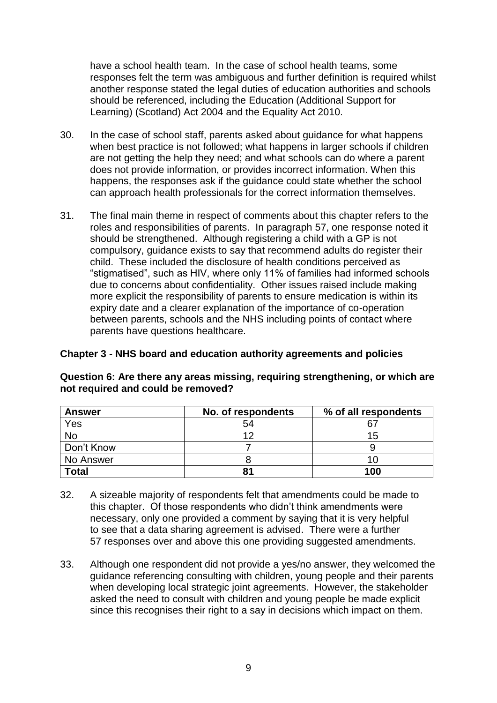have a school health team. In the case of school health teams, some responses felt the term was ambiguous and further definition is required whilst another response stated the legal duties of education authorities and schools should be referenced, including the Education (Additional Support for Learning) (Scotland) Act 2004 and the Equality Act 2010.

- 30. In the case of school staff, parents asked about guidance for what happens when best practice is not followed; what happens in larger schools if children are not getting the help they need; and what schools can do where a parent does not provide information, or provides incorrect information. When this happens, the responses ask if the guidance could state whether the school can approach health professionals for the correct information themselves.
- 31. The final main theme in respect of comments about this chapter refers to the roles and responsibilities of parents. In paragraph 57, one response noted it should be strengthened. Although registering a child with a GP is not compulsory, guidance exists to say that recommend adults do register their child. These included the disclosure of health conditions perceived as "stigmatised", such as HIV, where only 11% of families had informed schools due to concerns about confidentiality. Other issues raised include making more explicit the responsibility of parents to ensure medication is within its expiry date and a clearer explanation of the importance of co-operation between parents, schools and the NHS including points of contact where parents have questions healthcare.

#### **Chapter 3 - NHS board and education authority agreements and policies**

| <b>Answer</b> | No. of respondents | % of all respondents |
|---------------|--------------------|----------------------|
| Yes           | 54                 |                      |
| <b>No</b>     | ィつ                 | 15                   |
| Don't Know    |                    |                      |
| No Answer     |                    | 10                   |
| <b>Total</b>  | 81                 | 100                  |

**Question 6: Are there any areas missing, requiring strengthening, or which are not required and could be removed?**

- 32. A sizeable majority of respondents felt that amendments could be made to this chapter. Of those respondents who didn't think amendments were necessary, only one provided a comment by saying that it is very helpful to see that a data sharing agreement is advised. There were a further 57 responses over and above this one providing suggested amendments.
- 33. Although one respondent did not provide a yes/no answer, they welcomed the guidance referencing consulting with children, young people and their parents when developing local strategic joint agreements. However, the stakeholder asked the need to consult with children and young people be made explicit since this recognises their right to a say in decisions which impact on them.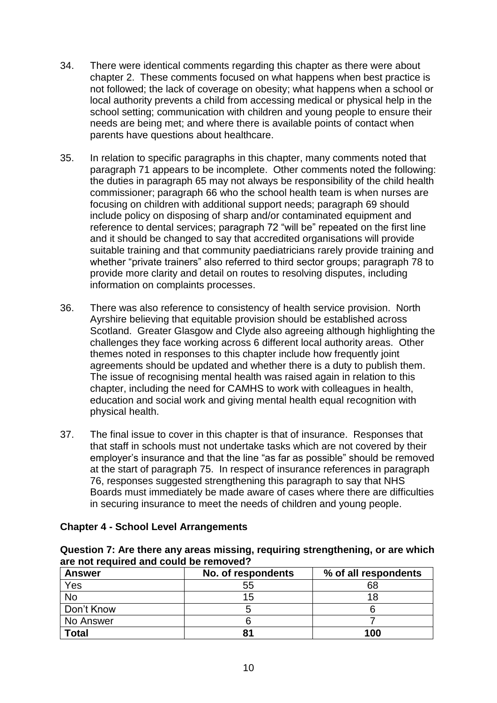- 34. There were identical comments regarding this chapter as there were about chapter 2. These comments focused on what happens when best practice is not followed; the lack of coverage on obesity; what happens when a school or local authority prevents a child from accessing medical or physical help in the school setting; communication with children and young people to ensure their needs are being met; and where there is available points of contact when parents have questions about healthcare.
- 35. In relation to specific paragraphs in this chapter, many comments noted that paragraph 71 appears to be incomplete. Other comments noted the following: the duties in paragraph 65 may not always be responsibility of the child health commissioner; paragraph 66 who the school health team is when nurses are focusing on children with additional support needs; paragraph 69 should include policy on disposing of sharp and/or contaminated equipment and reference to dental services; paragraph 72 "will be" repeated on the first line and it should be changed to say that accredited organisations will provide suitable training and that community paediatricians rarely provide training and whether "private trainers" also referred to third sector groups; paragraph 78 to provide more clarity and detail on routes to resolving disputes, including information on complaints processes.
- 36. There was also reference to consistency of health service provision. North Ayrshire believing that equitable provision should be established across Scotland. Greater Glasgow and Clyde also agreeing although highlighting the challenges they face working across 6 different local authority areas. Other themes noted in responses to this chapter include how frequently joint agreements should be updated and whether there is a duty to publish them. The issue of recognising mental health was raised again in relation to this chapter, including the need for CAMHS to work with colleagues in health, education and social work and giving mental health equal recognition with physical health.
- 37. The final issue to cover in this chapter is that of insurance. Responses that that staff in schools must not undertake tasks which are not covered by their employer's insurance and that the line "as far as possible" should be removed at the start of paragraph 75. In respect of insurance references in paragraph 76, responses suggested strengthening this paragraph to say that NHS Boards must immediately be made aware of cases where there are difficulties in securing insurance to meet the needs of children and young people.

|  |  | <b>Chapter 4 - School Level Arrangements</b> |
|--|--|----------------------------------------------|
|  |  |                                              |

| Question 7: Are there any areas missing, requiring strengthening, or are which |  |
|--------------------------------------------------------------------------------|--|
| are not required and could be removed?                                         |  |

| <b>Answer</b> | No. of respondents | % of all respondents |
|---------------|--------------------|----------------------|
| Yes           | 55                 | 68                   |
| <b>No</b>     | 15                 | 18                   |
| Don't Know    |                    |                      |
| No Answer     |                    |                      |
| <b>Total</b>  | 81                 | 100                  |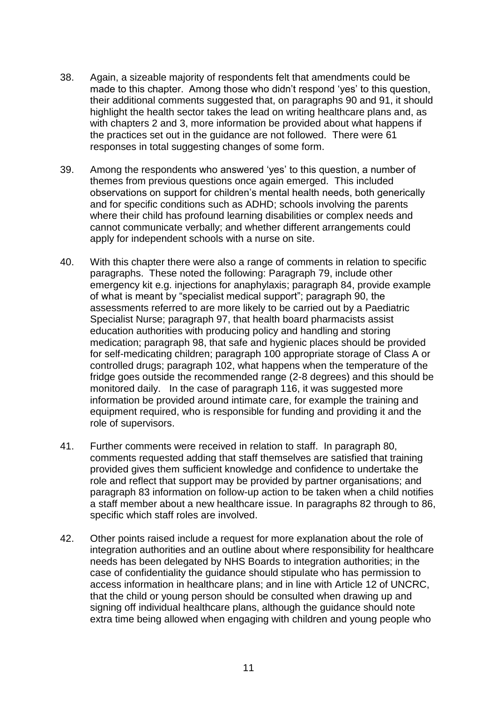- 38. Again, a sizeable majority of respondents felt that amendments could be made to this chapter. Among those who didn't respond 'yes' to this question, their additional comments suggested that, on paragraphs 90 and 91, it should highlight the health sector takes the lead on writing healthcare plans and, as with chapters 2 and 3, more information be provided about what happens if the practices set out in the guidance are not followed. There were 61 responses in total suggesting changes of some form.
- 39. Among the respondents who answered 'yes' to this question, a number of themes from previous questions once again emerged. This included observations on support for children's mental health needs, both generically and for specific conditions such as ADHD; schools involving the parents where their child has profound learning disabilities or complex needs and cannot communicate verbally; and whether different arrangements could apply for independent schools with a nurse on site.
- 40. With this chapter there were also a range of comments in relation to specific paragraphs. These noted the following: Paragraph 79, include other emergency kit e.g. injections for anaphylaxis; paragraph 84, provide example of what is meant by "specialist medical support"; paragraph 90, the assessments referred to are more likely to be carried out by a Paediatric Specialist Nurse; paragraph 97, that health board pharmacists assist education authorities with producing policy and handling and storing medication; paragraph 98, that safe and hygienic places should be provided for self-medicating children; paragraph 100 appropriate storage of Class A or controlled drugs; paragraph 102, what happens when the temperature of the fridge goes outside the recommended range (2-8 degrees) and this should be monitored daily. In the case of paragraph 116, it was suggested more information be provided around intimate care, for example the training and equipment required, who is responsible for funding and providing it and the role of supervisors.
- 41. Further comments were received in relation to staff. In paragraph 80, comments requested adding that staff themselves are satisfied that training provided gives them sufficient knowledge and confidence to undertake the role and reflect that support may be provided by partner organisations; and paragraph 83 information on follow-up action to be taken when a child notifies a staff member about a new healthcare issue. In paragraphs 82 through to 86, specific which staff roles are involved.
- 42. Other points raised include a request for more explanation about the role of integration authorities and an outline about where responsibility for healthcare needs has been delegated by NHS Boards to integration authorities; in the case of confidentiality the guidance should stipulate who has permission to access information in healthcare plans; and in line with Article 12 of UNCRC, that the child or young person should be consulted when drawing up and signing off individual healthcare plans, although the guidance should note extra time being allowed when engaging with children and young people who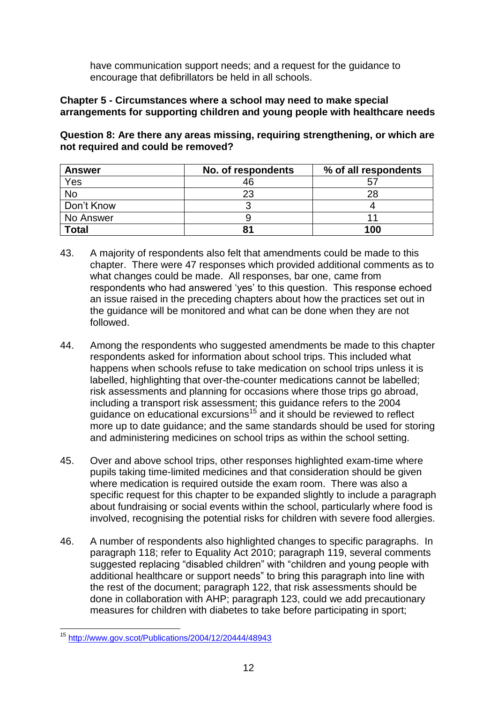have communication support needs; and a request for the guidance to encourage that defibrillators be held in all schools.

#### **Chapter 5 - Circumstances where a school may need to make special arrangements for supporting children and young people with healthcare needs**

**Question 8: Are there any areas missing, requiring strengthening, or which are not required and could be removed?**

| <b>Answer</b> | No. of respondents | % of all respondents |
|---------------|--------------------|----------------------|
| Yes           | 46                 | b                    |
| <b>No</b>     | 23                 | 28                   |
| Don't Know    |                    |                      |
| No Answer     |                    |                      |
| <b>Total</b>  |                    | 100                  |

- 43. A majority of respondents also felt that amendments could be made to this chapter. There were 47 responses which provided additional comments as to what changes could be made. All responses, bar one, came from respondents who had answered 'yes' to this question. This response echoed an issue raised in the preceding chapters about how the practices set out in the guidance will be monitored and what can be done when they are not followed.
- 44. Among the respondents who suggested amendments be made to this chapter respondents asked for information about school trips. This included what happens when schools refuse to take medication on school trips unless it is labelled, highlighting that over-the-counter medications cannot be labelled; risk assessments and planning for occasions where those trips go abroad, including a transport risk assessment; this guidance refers to the 2004 guidance on educational excursions<sup>15</sup> and it should be reviewed to reflect more up to date guidance; and the same standards should be used for storing and administering medicines on school trips as within the school setting.
- 45. Over and above school trips, other responses highlighted exam-time where pupils taking time-limited medicines and that consideration should be given where medication is required outside the exam room. There was also a specific request for this chapter to be expanded slightly to include a paragraph about fundraising or social events within the school, particularly where food is involved, recognising the potential risks for children with severe food allergies.
- 46. A number of respondents also highlighted changes to specific paragraphs. In paragraph 118; refer to Equality Act 2010; paragraph 119, several comments suggested replacing "disabled children" with "children and young people with additional healthcare or support needs" to bring this paragraph into line with the rest of the document; paragraph 122, that risk assessments should be done in collaboration with AHP; paragraph 123, could we add precautionary measures for children with diabetes to take before participating in sport;

<sup>1</sup> <sup>15</sup> <http://www.gov.scot/Publications/2004/12/20444/48943>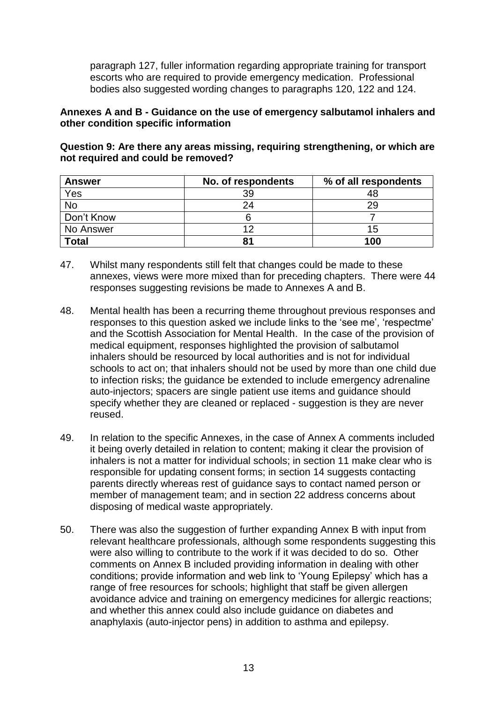paragraph 127, fuller information regarding appropriate training for transport escorts who are required to provide emergency medication. Professional bodies also suggested wording changes to paragraphs 120, 122 and 124.

#### **Annexes A and B - Guidance on the use of emergency salbutamol inhalers and other condition specific information**

**Question 9: Are there any areas missing, requiring strengthening, or which are not required and could be removed?**

| <b>Answer</b>    | No. of respondents | % of all respondents |
|------------------|--------------------|----------------------|
| $\frac{Yes}{No}$ | 39                 | 48                   |
|                  | 24                 | 29                   |
| Don't Know       |                    |                      |
| No Answer        | 10                 | 15                   |
| <b>Total</b>     | 81                 | 100                  |

- 47. Whilst many respondents still felt that changes could be made to these annexes, views were more mixed than for preceding chapters. There were 44 responses suggesting revisions be made to Annexes A and B.
- 48. Mental health has been a recurring theme throughout previous responses and responses to this question asked we include links to the 'see me', 'respectme' and the Scottish Association for Mental Health. In the case of the provision of medical equipment, responses highlighted the provision of salbutamol inhalers should be resourced by local authorities and is not for individual schools to act on; that inhalers should not be used by more than one child due to infection risks; the guidance be extended to include emergency adrenaline auto-injectors; spacers are single patient use items and guidance should specify whether they are cleaned or replaced - suggestion is they are never reused.
- 49. In relation to the specific Annexes, in the case of Annex A comments included it being overly detailed in relation to content; making it clear the provision of inhalers is not a matter for individual schools; in section 11 make clear who is responsible for updating consent forms; in section 14 suggests contacting parents directly whereas rest of guidance says to contact named person or member of management team; and in section 22 address concerns about disposing of medical waste appropriately.
- 50. There was also the suggestion of further expanding Annex B with input from relevant healthcare professionals, although some respondents suggesting this were also willing to contribute to the work if it was decided to do so. Other comments on Annex B included providing information in dealing with other conditions; provide information and web link to 'Young Epilepsy' which has a range of free resources for schools; highlight that staff be given allergen avoidance advice and training on emergency medicines for allergic reactions; and whether this annex could also include guidance on diabetes and anaphylaxis (auto-injector pens) in addition to asthma and epilepsy.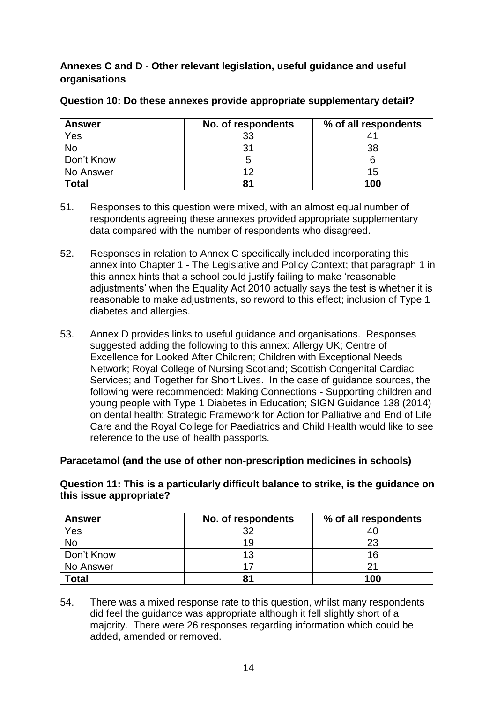#### **Annexes C and D - Other relevant legislation, useful guidance and useful organisations**

| <b>Answer</b> | No. of respondents | % of all respondents |
|---------------|--------------------|----------------------|
| Yes           | 33                 | 4                    |
| <b>No</b>     |                    | 38                   |
| Don't Know    |                    |                      |
| No Answer     | ィつ                 | 15                   |
| <b>Total</b>  | 81                 | 100                  |

#### **Question 10: Do these annexes provide appropriate supplementary detail?**

- 51. Responses to this question were mixed, with an almost equal number of respondents agreeing these annexes provided appropriate supplementary data compared with the number of respondents who disagreed.
- 52. Responses in relation to Annex C specifically included incorporating this annex into Chapter 1 - The Legislative and Policy Context; that paragraph 1 in this annex hints that a school could justify failing to make 'reasonable adjustments' when the Equality Act 2010 actually says the test is whether it is reasonable to make adjustments, so reword to this effect; inclusion of Type 1 diabetes and allergies.
- 53. Annex D provides links to useful guidance and organisations. Responses suggested adding the following to this annex: Allergy UK; Centre of Excellence for Looked After Children; Children with Exceptional Needs Network; Royal College of Nursing Scotland; Scottish Congenital Cardiac Services; and Together for Short Lives. In the case of guidance sources, the following were recommended: Making Connections - Supporting children and young people with Type 1 Diabetes in Education; SIGN Guidance 138 (2014) on dental health; Strategic Framework for Action for Palliative and End of Life Care and the Royal College for Paediatrics and Child Health would like to see reference to the use of health passports.

#### **Paracetamol (and the use of other non-prescription medicines in schools)**

#### **Question 11: This is a particularly difficult balance to strike, is the guidance on this issue appropriate?**

| <b>Answer</b> | No. of respondents | % of all respondents |
|---------------|--------------------|----------------------|
| Yes           | つ                  | 40                   |
| <b>No</b>     | 19                 | 23                   |
| Don't Know    | 13                 | 16                   |
| No Answer     |                    | っ                    |
| <b>Total</b>  | 81                 | 100                  |

54. There was a mixed response rate to this question, whilst many respondents did feel the guidance was appropriate although it fell slightly short of a majority. There were 26 responses regarding information which could be added, amended or removed.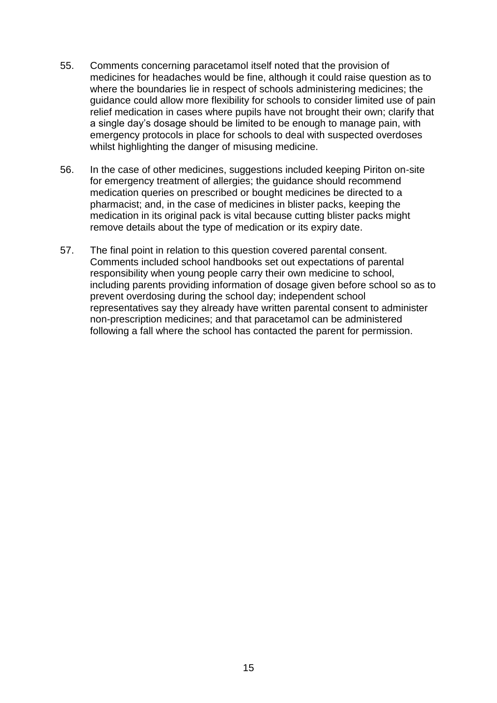- 55. Comments concerning paracetamol itself noted that the provision of medicines for headaches would be fine, although it could raise question as to where the boundaries lie in respect of schools administering medicines; the guidance could allow more flexibility for schools to consider limited use of pain relief medication in cases where pupils have not brought their own; clarify that a single day's dosage should be limited to be enough to manage pain, with emergency protocols in place for schools to deal with suspected overdoses whilst highlighting the danger of misusing medicine.
- 56. In the case of other medicines, suggestions included keeping Piriton on-site for emergency treatment of allergies; the guidance should recommend medication queries on prescribed or bought medicines be directed to a pharmacist; and, in the case of medicines in blister packs, keeping the medication in its original pack is vital because cutting blister packs might remove details about the type of medication or its expiry date.
- 57. The final point in relation to this question covered parental consent. Comments included school handbooks set out expectations of parental responsibility when young people carry their own medicine to school, including parents providing information of dosage given before school so as to prevent overdosing during the school day; independent school representatives say they already have written parental consent to administer non-prescription medicines; and that paracetamol can be administered following a fall where the school has contacted the parent for permission.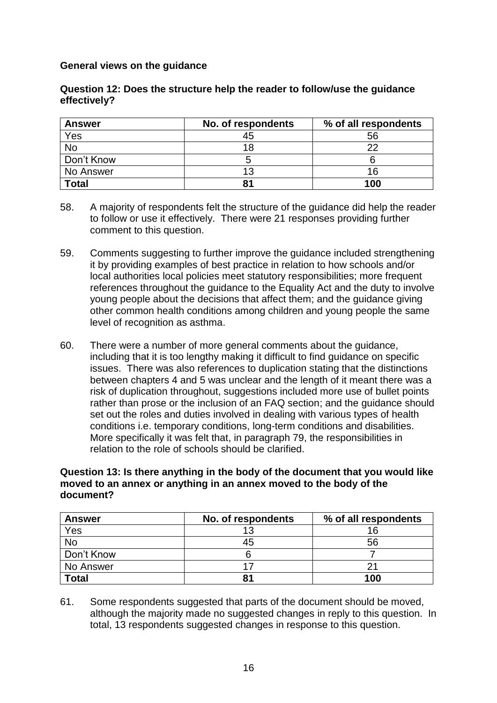#### **General views on the guidance**

#### **Question 12: Does the structure help the reader to follow/use the guidance effectively?**

| <b>Answer</b> | No. of respondents | % of all respondents |
|---------------|--------------------|----------------------|
| Yes           | 45                 | 56                   |
| No            | 18                 | າາ                   |
| Don't Know    |                    |                      |
| No Answer     | 13                 | 16                   |
| <b>Total</b>  | 81                 | 100                  |

- 58. A majority of respondents felt the structure of the guidance did help the reader to follow or use it effectively. There were 21 responses providing further comment to this question.
- 59. Comments suggesting to further improve the guidance included strengthening it by providing examples of best practice in relation to how schools and/or local authorities local policies meet statutory responsibilities; more frequent references throughout the guidance to the Equality Act and the duty to involve young people about the decisions that affect them; and the guidance giving other common health conditions among children and young people the same level of recognition as asthma.
- 60. There were a number of more general comments about the guidance, including that it is too lengthy making it difficult to find guidance on specific issues. There was also references to duplication stating that the distinctions between chapters 4 and 5 was unclear and the length of it meant there was a risk of duplication throughout, suggestions included more use of bullet points rather than prose or the inclusion of an FAQ section; and the guidance should set out the roles and duties involved in dealing with various types of health conditions i.e. temporary conditions, long-term conditions and disabilities. More specifically it was felt that, in paragraph 79, the responsibilities in relation to the role of schools should be clarified.

#### **Question 13: Is there anything in the body of the document that you would like moved to an annex or anything in an annex moved to the body of the document?**

| <b>Answer</b> | No. of respondents | % of all respondents |
|---------------|--------------------|----------------------|
| Yes           | 1 ?                | 16                   |
| No            | 45                 | 56                   |
| Don't Know    |                    |                      |
| No Answer     |                    |                      |
| <b>Total</b>  |                    | 100                  |

61. Some respondents suggested that parts of the document should be moved, although the majority made no suggested changes in reply to this question. In total, 13 respondents suggested changes in response to this question.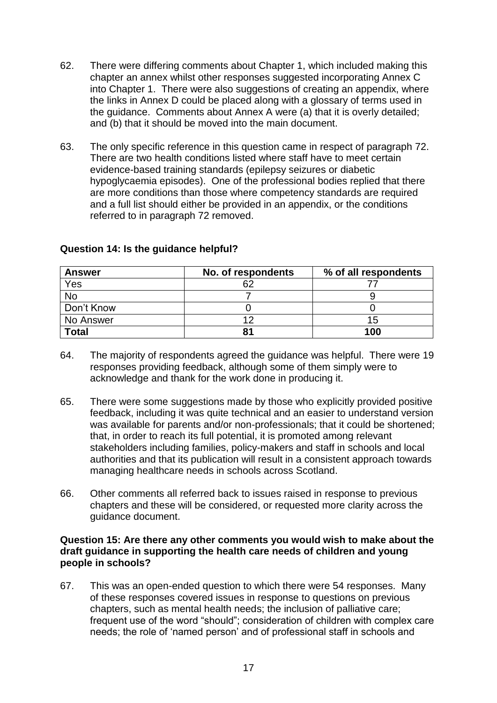- 62. There were differing comments about Chapter 1, which included making this chapter an annex whilst other responses suggested incorporating Annex C into Chapter 1. There were also suggestions of creating an appendix, where the links in Annex D could be placed along with a glossary of terms used in the guidance. Comments about Annex A were (a) that it is overly detailed; and (b) that it should be moved into the main document.
- 63. The only specific reference in this question came in respect of paragraph 72. There are two health conditions listed where staff have to meet certain evidence-based training standards (epilepsy seizures or diabetic hypoglycaemia episodes). One of the professional bodies replied that there are more conditions than those where competency standards are required and a full list should either be provided in an appendix, or the conditions referred to in paragraph 72 removed.

| <b>Answer</b> | No. of respondents | % of all respondents |
|---------------|--------------------|----------------------|
| Yes           | 62                 |                      |
| No            |                    |                      |
| Don't Know    |                    |                      |
| No Answer     | ィつ                 | 15                   |
| <b>Total</b>  | 81                 | 100                  |

#### **Question 14: Is the guidance helpful?**

- 64. The majority of respondents agreed the guidance was helpful. There were 19 responses providing feedback, although some of them simply were to acknowledge and thank for the work done in producing it.
- 65. There were some suggestions made by those who explicitly provided positive feedback, including it was quite technical and an easier to understand version was available for parents and/or non-professionals; that it could be shortened; that, in order to reach its full potential, it is promoted among relevant stakeholders including families, policy-makers and staff in schools and local authorities and that its publication will result in a consistent approach towards managing healthcare needs in schools across Scotland.
- 66. Other comments all referred back to issues raised in response to previous chapters and these will be considered, or requested more clarity across the guidance document.

#### **Question 15: Are there any other comments you would wish to make about the draft guidance in supporting the health care needs of children and young people in schools?**

67. This was an open-ended question to which there were 54 responses. Many of these responses covered issues in response to questions on previous chapters, such as mental health needs; the inclusion of palliative care; frequent use of the word "should"; consideration of children with complex care needs; the role of 'named person' and of professional staff in schools and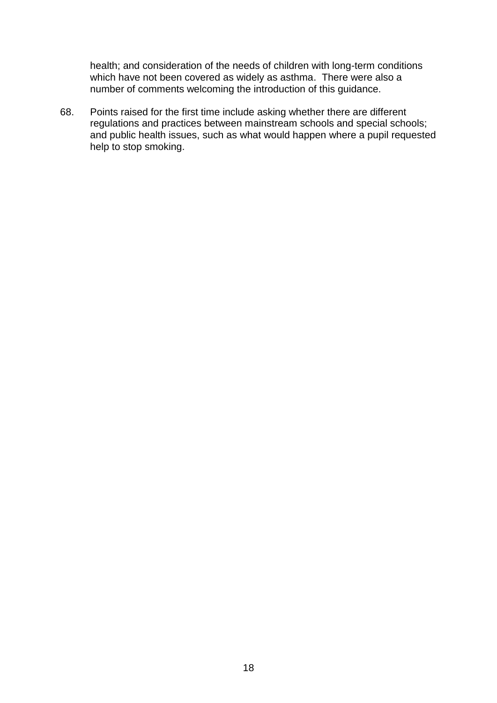health; and consideration of the needs of children with long-term conditions which have not been covered as widely as asthma. There were also a number of comments welcoming the introduction of this guidance.

68. Points raised for the first time include asking whether there are different regulations and practices between mainstream schools and special schools; and public health issues, such as what would happen where a pupil requested help to stop smoking.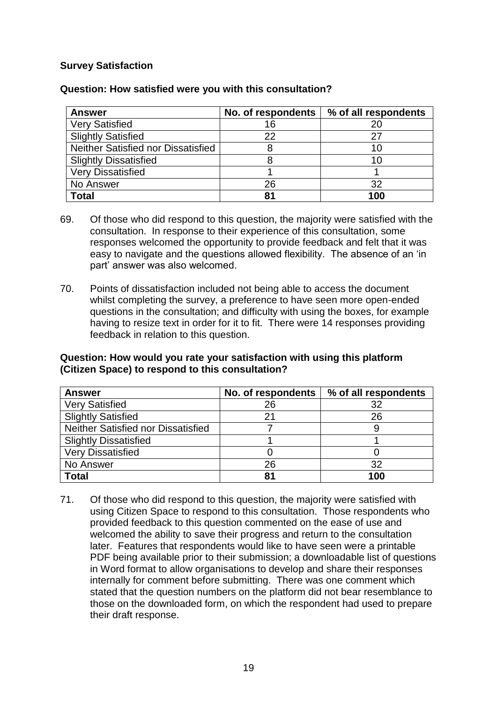#### **Survey Satisfaction**

| <b>Answer</b>                      | No. of respondents | % of all respondents |
|------------------------------------|--------------------|----------------------|
| <b>Very Satisfied</b>              | 16                 |                      |
| <b>Slightly Satisfied</b>          | 22                 |                      |
| Neither Satisfied nor Dissatisfied |                    |                      |
| <b>Slightly Dissatisfied</b>       |                    |                      |
| <b>Very Dissatisfied</b>           |                    |                      |
| No Answer                          | 26                 |                      |
| Total                              | 81                 | 100                  |

#### **Question: How satisfied were you with this consultation?**

- 69. Of those who did respond to this question, the majority were satisfied with the consultation. In response to their experience of this consultation, some responses welcomed the opportunity to provide feedback and felt that it was easy to navigate and the questions allowed flexibility. The absence of an 'in part' answer was also welcomed.
- 70. Points of dissatisfaction included not being able to access the document whilst completing the survey, a preference to have seen more open-ended questions in the consultation; and difficulty with using the boxes, for example having to resize text in order for it to fit. There were 14 responses providing feedback in relation to this question.

#### **Question: How would you rate your satisfaction with using this platform (Citizen Space) to respond to this consultation?**

| <b>Answer</b>                      | No. of respondents | % of all respondents |
|------------------------------------|--------------------|----------------------|
| <b>Very Satisfied</b>              | 26                 |                      |
| <b>Slightly Satisfied</b>          | 21                 | 26                   |
| Neither Satisfied nor Dissatisfied |                    |                      |
| <b>Slightly Dissatisfied</b>       |                    |                      |
| <b>Very Dissatisfied</b>           |                    |                      |
| No Answer                          | 26                 | 32                   |
| <b>Total</b>                       | 81                 | 100                  |

71. Of those who did respond to this question, the majority were satisfied with using Citizen Space to respond to this consultation. Those respondents who provided feedback to this question commented on the ease of use and welcomed the ability to save their progress and return to the consultation later. Features that respondents would like to have seen were a printable PDF being available prior to their submission; a downloadable list of questions in Word format to allow organisations to develop and share their responses internally for comment before submitting. There was one comment which stated that the question numbers on the platform did not bear resemblance to those on the downloaded form, on which the respondent had used to prepare their draft response.